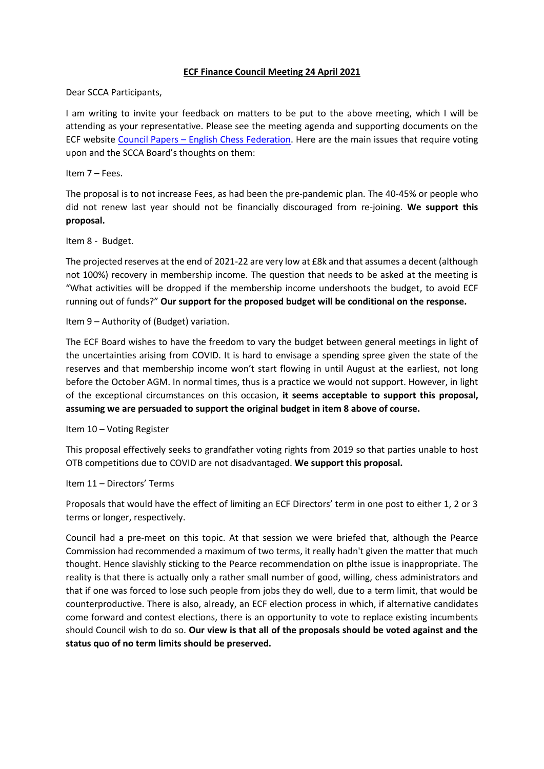## **ECF Finance Council Meeting 24 April 2021**

Dear SCCA Participants,

I am writing to invite your feedback on matters to be put to the above meeting, which I will be attending as your representative. Please see the meeting agenda and supporting documents on the ECF website Council Papers – [English Chess Federation.](https://www.englishchess.org.uk/about/ecf-council-and-board/) Here are the main issues that require voting upon and the SCCA Board's thoughts on them:

Item 7 – Fees.

The proposal is to not increase Fees, as had been the pre-pandemic plan. The 40-45% or people who did not renew last year should not be financially discouraged from re-joining. **We support this proposal.**

Item 8 - Budget.

The projected reserves at the end of 2021-22 are very low at £8k and that assumes a decent (although not 100%) recovery in membership income. The question that needs to be asked at the meeting is "What activities will be dropped if the membership income undershoots the budget, to avoid ECF running out of funds?" **Our support for the proposed budget will be conditional on the response.**

Item 9 – Authority of (Budget) variation.

The ECF Board wishes to have the freedom to vary the budget between general meetings in light of the uncertainties arising from COVID. It is hard to envisage a spending spree given the state of the reserves and that membership income won't start flowing in until August at the earliest, not long before the October AGM. In normal times, thus is a practice we would not support. However, in light of the exceptional circumstances on this occasion, **it seems acceptable to support this proposal, assuming we are persuaded to support the original budget in item 8 above of course.**

Item 10 – Voting Register

This proposal effectively seeks to grandfather voting rights from 2019 so that parties unable to host OTB competitions due to COVID are not disadvantaged. **We support this proposal.**

Item 11 – Directors' Terms

Proposals that would have the effect of limiting an ECF Directors' term in one post to either 1, 2 or 3 terms or longer, respectively.

Council had a pre-meet on this topic. At that session we were briefed that, although the Pearce Commission had recommended a maximum of two terms, it really hadn't given the matter that much thought. Hence slavishly sticking to the Pearce recommendation on plthe issue is inappropriate. The reality is that there is actually only a rather small number of good, willing, chess administrators and that if one was forced to lose such people from jobs they do well, due to a term limit, that would be counterproductive. There is also, already, an ECF election process in which, if alternative candidates come forward and contest elections, there is an opportunity to vote to replace existing incumbents should Council wish to do so. **Our view is that all of the proposals should be voted against and the status quo of no term limits should be preserved.**